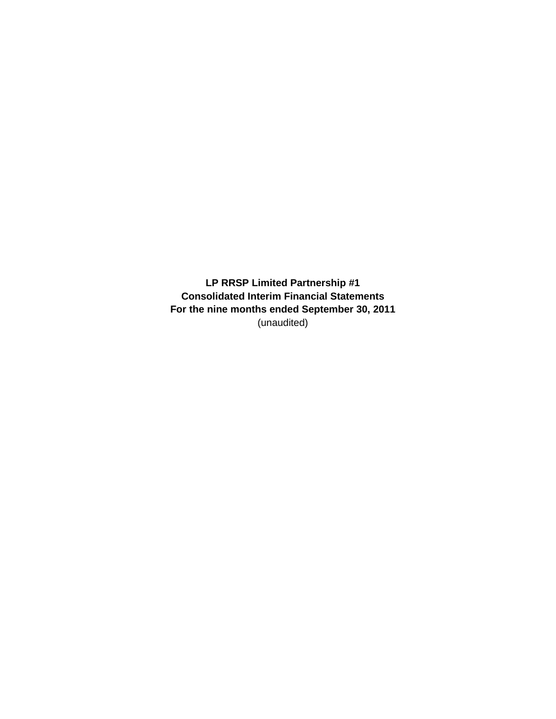**LP RRSP Limited Partnership #1 Consolidated Interim Financial Statements For the nine months ended September 30, 2011** (unaudited)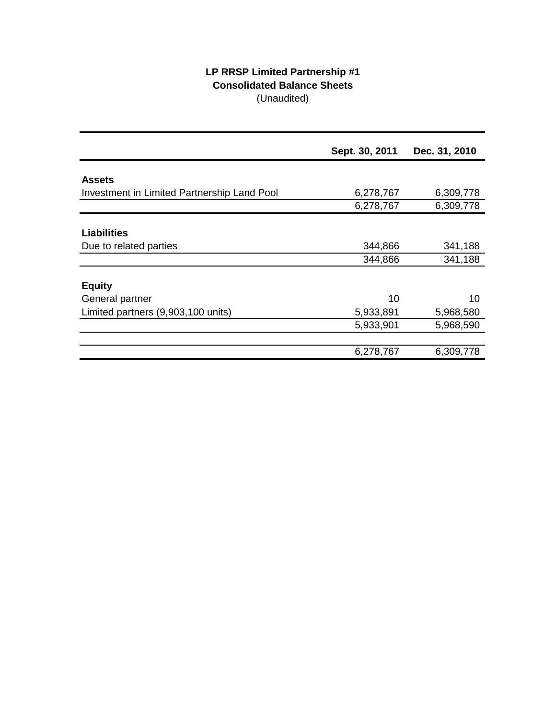# **LP RRSP Limited Partnership #1 Consolidated Balance Sheets** (Unaudited)

|                                             | Sept. 30, 2011 | Dec. 31, 2010 |
|---------------------------------------------|----------------|---------------|
|                                             |                |               |
| <b>Assets</b>                               |                |               |
| Investment in Limited Partnership Land Pool | 6,278,767      | 6,309,778     |
|                                             | 6,278,767      | 6,309,778     |
|                                             |                |               |
| <b>Liabilities</b>                          |                |               |
| Due to related parties                      | 344,866        | 341,188       |
|                                             | 344,866        | 341,188       |
|                                             |                |               |
| <b>Equity</b>                               |                |               |
| General partner                             | 10             | 10            |
| Limited partners (9,903,100 units)          | 5,933,891      | 5,968,580     |
|                                             | 5,933,901      | 5,968,590     |
|                                             |                |               |
|                                             | 6,278,767      | 6,309,778     |
|                                             |                |               |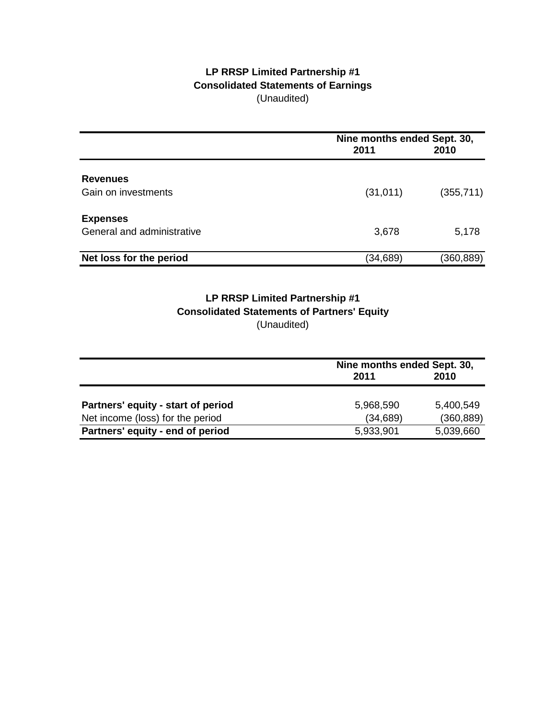# **LP RRSP Limited Partnership #1 Consolidated Statements of Earnings** (Unaudited)

|                            | 2011      | Nine months ended Sept. 30,<br>2010 |  |
|----------------------------|-----------|-------------------------------------|--|
| <b>Revenues</b>            |           |                                     |  |
| Gain on investments        | (31, 011) | (355, 711)                          |  |
| <b>Expenses</b>            |           |                                     |  |
| General and administrative | 3,678     | 5,178                               |  |
| Net loss for the period    | (34,689)  | (360, 889)                          |  |

# **Consolidated Statements of Partners' Equity** (Unaudited) **LP RRSP Limited Partnership #1**

|                                    | Nine months ended Sept. 30, |            |
|------------------------------------|-----------------------------|------------|
|                                    | 2011                        | 2010       |
|                                    |                             |            |
| Partners' equity - start of period | 5,968,590                   | 5,400,549  |
| Net income (loss) for the period   | (34, 689)                   | (360, 889) |
| Partners' equity - end of period   | 5,933,901                   | 5,039,660  |